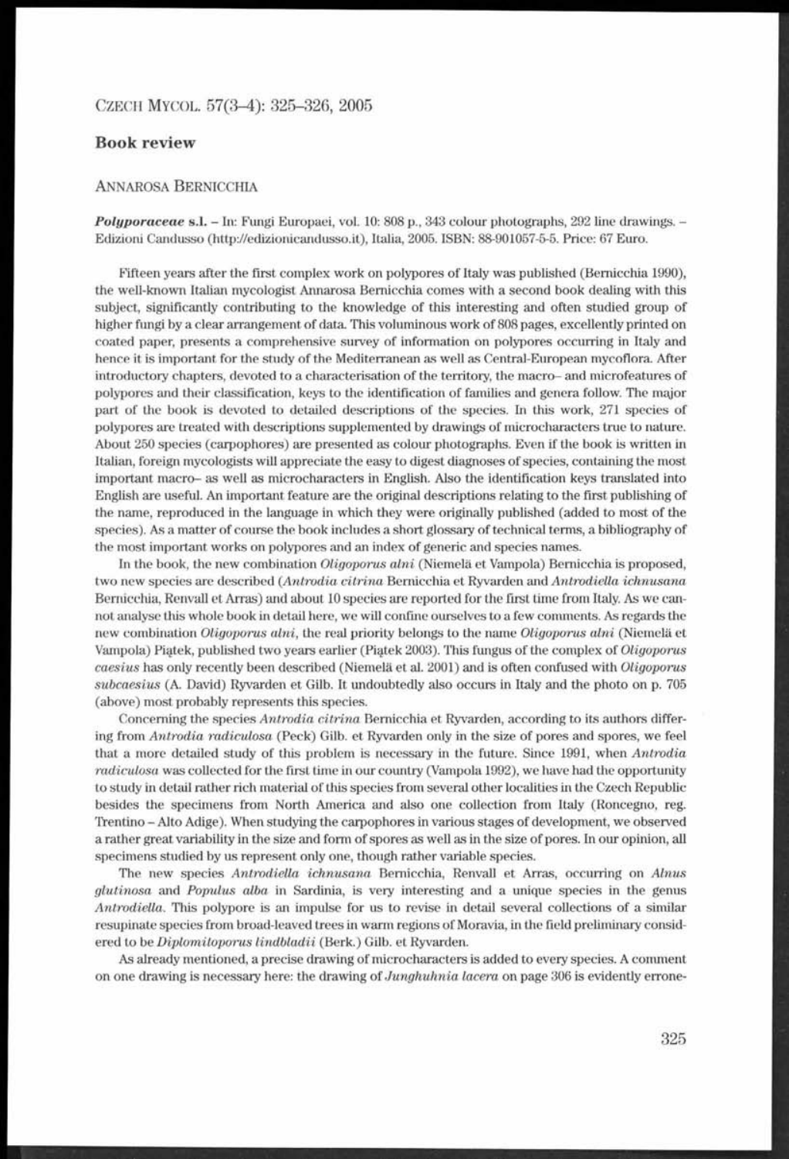## CZECH MYCOL. 57(3-4): 325-326, 2005

## **Book review**

## ANNAROSA BERNICCHIA

*Polyporaceae* **s.l.** - In: Fungi Europaei, vol. 10: 808 p., 343 colour photographs, 292 line drawings. - Edizioni Candusso (<http://edizionicandusso.it>), Italia, 2005. ISBN: 88-901057-5-5. Price: 67 Euro.

Fifteen years after the first complex work on polypores of Italy was published (Bernicchia 1990), the well-known Italian mycologist Annarosa Bernicchia comes with a second book dealing with this subject, significantly contributing to the knowledge of this interesting and often studied group of higher fungi by a clear arrangement of data. This voluminous work of 808 pages, excellently printed on coated paper, presents a comprehensive survey of information on polypores occurring in Italy and hence it is important for the study of the Mediterranean as well as Central-European mycoflora. After introductory chapters, devoted to a characterisation of the territory, the macro- and microfeatures of polypores and their classification, keys to the identification of families and genera follow. The major part of the book is devoted to detailed descriptions of the species. In this work, 271 species of polypores are treated with descriptions supplemented by drawings of microcharacters true to nature. About 250 species (carpophores) are presented as colour photographs. Even if the book is written in Italian, foreign mycologists will appreciate the easy to digest diagnoses of species, containing the most important macro- as well as microcharacters in English. Also the identification keys translated into English are useful. An important feature are the original descriptions relating to the first publishing of the name, reproduced in the language in which they were originally published (added to most of the species). As a matter of course the book includes a short glossary of technical terms, a bibliography of the most important works on polypores and an index of generic and species names.

In the book, the new combination *Oligoporus alni* (Niemela et Vampola) Bernicchia is proposed, two new species are described (*Antrodia citrina* Bernicchia et Ryvarden and *Antrodiella ichnusana* Bernicchia, Renvall et Arras) and about 10 species are reported for the first time from Italy. As we cannot analyse this whole book in detail here, we will confine ourselves to a few comments. As regards the new combination *Oligoporus alni,* the real priority belongs to the name *Oligoporus alni* (Niemela et Vampola) Pi^tek, published two years earlier (Pi^tek 2003). This fungus of the complex of *Oligoporus caesius* has only recently been described (Niemela et al. 2001) and is often confused with *Oligoporus subcaesius* (A. David) Ryvarden et Gilb. It undoubtedly also occurs in Italy and the photo on p. 705 (above) most probably represents this species.

Concerning the species *Antrodia citrina* Bernicchia et Ryvarden, according to its authors differing from *Antrodia radiculosa* (Peck) Gilb. et Ryvarden only in the size of pores and spores, we feel that a more detailed study of this problem is necessary in the future. Since 1991, when *Antrodia radiculosa* was collected for the first time in our country (Vampola 1992), we have had the opportunity to study in detail rather rich material of this species from several other localities in the Czech Republic besides the specimens from North America and also one collection from Italy (Roncegno, reg. Trentino - Alto Adige). When studying the carpophores in various stages of development, we observed a rather great variability in the size and form of spores as well as in the size of pores. In our opinion, all specimens studied by us represent only one, though rather variable species.

The new species *Antrodiella ichnusana* Bernicchia, Renvall et Arras, occurring on *Alnus glutinosa* and *Populus alba* in Sardinia, is very interesting and a unique species in the genus *Antrodiella.* This polypore is an impulse for us to revise in detail several collections of a similar resupinate species from broad-leaved trees in warm regions of Moravia, in the field preliminary considered to be *Diplomitoporus lindbladii* (Berk.) Gilb. et Ryvarden.

As already mentioned, a precise drawing of microcharacters is added to every species. A comment on one drawing is necessary here: the drawing of *Junghuhnia lacera* on page 306 is evidently errone